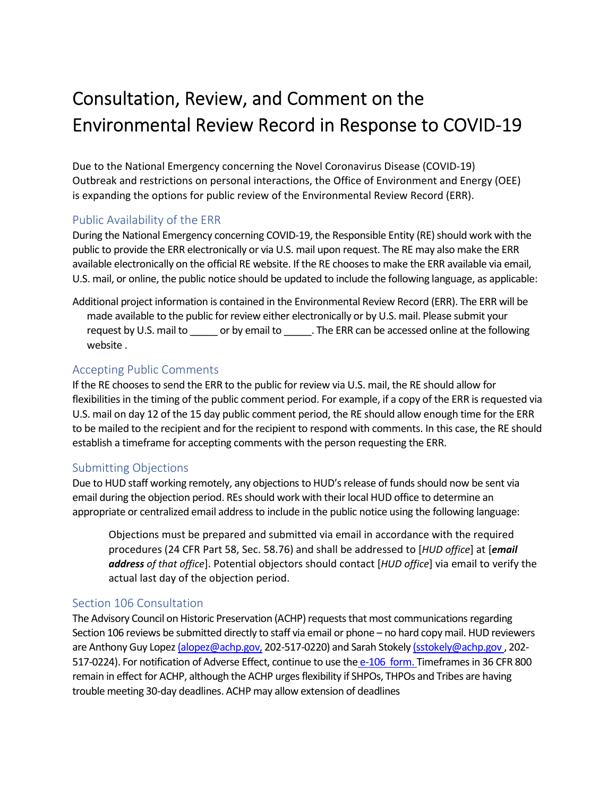# Consultation, Review, and Comment on the Environmental Review Record in Response to COVID-19

 Due to the National Emergency concerning the Novel Coronavirus Disease (COVID-19) Outbreak and restrictions on personal interactions, the Office of Environment and Energy (OEE) is expanding the options for public review of the Environmental Review Record (ERR).

## Public Availability of the ERR

 During the National Emergency concerning COVID-19, the Responsible Entity (RE) should work with the public to provide the ERR electronically or via U.S. mail upon request. The RE may also make the ERR available electronically on the official RE website. If the RE chooses to make the ERR available via email, U.S. mail, or online, the public notice should be updated to include the following language, as applicable:

 Additional project information is contained in the Environmental Review Record (ERR). The ERR will be made available to the public for review either electronically or by U.S. mail. Please submit your request by U.S. mail to \_\_\_\_\_\_ or by email to \_\_\_\_\_\_. The ERR can be accessed online at the following website .

#### Accepting Public Comments

 If the RE chooses to send the ERR to the public for review via U.S. mail, the RE should allow for flexibilities in the timing of the public comment period. For example, if a copy of the ERR is requested via U.S. mail on day 12 of the 15 day public comment period, the RE should allow enough time for the ERR to be mailed to the recipient and for the recipient to respond with comments. In this case, the RE should establish a timeframe for accepting comments with the person requesting the ERR.

#### Submitting Objections

 Due to HUD staff working remotely, any objections to HUD's release of funds should now be sent via email during the objection period. REs should work with their local HUD office to determine an appropriate or centralized email address to include in the public notice using the following language:

 Objections must be prepared and submitted via email in accordance with the required procedures (24 CFR Part 58, Sec. 58.76) and shall be addressed to [*HUD office*] at [*email address of that office*]. Potential objectors should contact [*HUD office*] via email to verify the actual last day of the objection period.

### Section 106 Consultation

 The Advisory Council on Historic Preservation (ACHP) requests that most communications regarding Section 106 reviews be submitted directly to staff via email or phone – no hard copy mail. HUD reviewers are Anthony Guy Lopez <u>[\(alopez@achp.gov](mailto:alopez@achp.gov),</u> 202-517-0220) and Sarah Stokely <u>[\(sstokely@achp.gov](mailto:sstokely@achp.gov) ,</u> 202-517-0224). For notification of Adverse Effect, continue to use the e-106 form. Timeframes in 36 CFR 800 remain in effect for ACHP, although the ACHP urges flexibility if SHPOs, THPOs and Tribes are having trouble meeting 30-day deadlines. ACHP may allow extension of deadlines